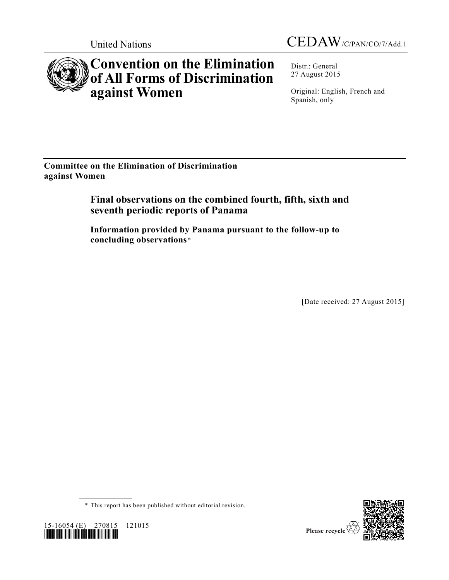



# **Convention on the Elimination of All Forms of Discrimination against Women**

Distr.: General 27 August 2015

Original: English, French and Spanish, only

**Committee on the Elimination of Discrimination against Women**

## **Final observations on the combined fourth, fifth, sixth and seventh periodic reports of Panama**

**Information provided by Panama pursuant to the follow-up to concluding observations**\*

[Date received: 27 August 2015]

\* This report has been published without editorial revision.

*\*1516054\**



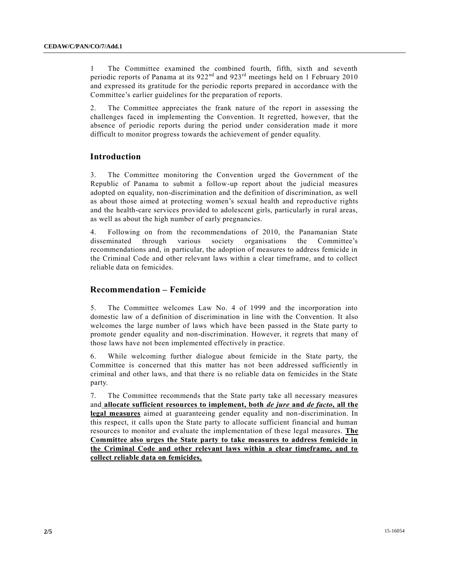1 The Committee examined the combined fourth, fifth, sixth and seventh periodic reports of Panama at its 922<sup>nd</sup> and 923<sup>rd</sup> meetings held on 1 February 2010 and expressed its gratitude for the periodic reports prepared in accordance with the Committee's earlier guidelines for the preparation of reports.

2. The Committee appreciates the frank nature of the report in assessing the challenges faced in implementing the Convention. It regretted, however, that the absence of periodic reports during the period under consideration made it more difficult to monitor progress towards the achievement of gender equality.

### **Introduction**

3. The Committee monitoring the Convention urged the Government of the Republic of Panama to submit a follow-up report about the judicial measures adopted on equality, non-discrimination and the definition of discrimination, as well as about those aimed at protecting women's sexual health and reproductive rights and the health-care services provided to adolescent girls, particularly in rural areas, as well as about the high number of early pregnancies.

4. Following on from the recommendations of 2010, the Panamanian State disseminated through various society organisations the Committee's recommendations and, in particular, the adoption of measures to address femicide in the Criminal Code and other relevant laws within a clear timeframe, and to collect reliable data on femicides.

#### **Recommendation – Femicide**

5. The Committee welcomes Law No. 4 of 1999 and the incorporation into domestic law of a definition of discrimination in line with the Convention. It also welcomes the large number of laws which have been passed in the State party to promote gender equality and non-discrimination. However, it regrets that many of those laws have not been implemented effectively in practice.

6. While welcoming further dialogue about femicide in the State party, the Committee is concerned that this matter has not been addressed sufficiently in criminal and other laws, and that there is no reliable data on femicides in the State party.

7. The Committee recommends that the State party take all necessary measures and **allocate sufficient resources to implement, both** *de jure* **and** *de facto***, all the legal measures** aimed at guaranteeing gender equality and non-discrimination. In this respect, it calls upon the State party to allocate sufficient financial and human resources to monitor and evaluate the implementation of these legal measures. **The Committee also urges the State party to take measures to address femicide in the Criminal Code and other relevant laws within a clear timeframe, and to collect reliable data on femicides.**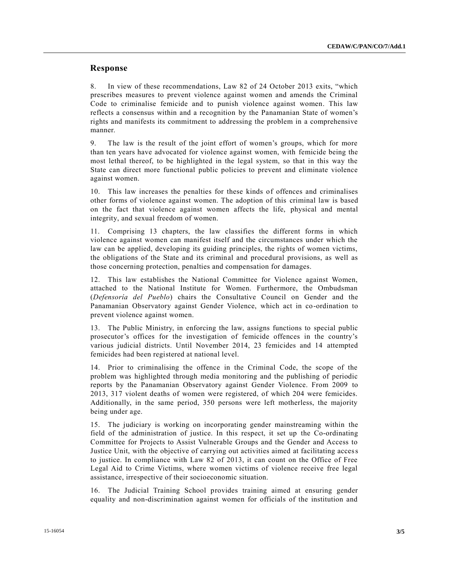#### **Response**

8. In view of these recommendations, Law 82 of 24 October 2013 exits, "which prescribes measures to prevent violence against women and amends the Criminal Code to criminalise femicide and to punish violence against women. This law reflects a consensus within and a recognition by the Panamanian State of women's rights and manifests its commitment to addressing the problem in a comprehensive manner.

9. The law is the result of the joint effort of women's groups, which for more than ten years have advocated for violence against women, with femicide being the most lethal thereof, to be highlighted in the legal system, so that in this way the State can direct more functional public policies to prevent and eliminate violence against women.

10. This law increases the penalties for these kinds of offences and criminalises other forms of violence against women. The adoption of this criminal law is based on the fact that violence against women affects the life, physical and mental integrity, and sexual freedom of women.

11. Comprising 13 chapters, the law classifies the different forms in which violence against women can manifest itself and the circumstances under which the law can be applied, developing its guiding principles, the rights of women victims, the obligations of the State and its criminal and procedural provisions, as well as those concerning protection, penalties and compensation for damages.

12. This law establishes the National Committee for Violence against Women, attached to the National Institute for Women. Furthermore, the Ombudsman (*Defensoría del Pueblo*) chairs the Consultative Council on Gender and the Panamanian Observatory against Gender Violence, which act in co-ordination to prevent violence against women.

13. The Public Ministry, in enforcing the law, assigns functions to special public prosecutor's offices for the investigation of femicide offences in the country's various judicial districts. Until November 2014, 23 femicides and 14 attempted femicides had been registered at national level.

14. Prior to criminalising the offence in the Criminal Code, the scope of the problem was highlighted through media monitoring and the publishing of periodic reports by the Panamanian Observatory against Gender Violence. From 2009 to 2013, 317 violent deaths of women were registered, of which 204 were femicides. Additionally, in the same period, 350 persons were left motherless, the majority being under age.

15. The judiciary is working on incorporating gender mainstreaming within the field of the administration of justice. In this respect, it set up the Co-ordinating Committee for Projects to Assist Vulnerable Groups and the Gender and Access to Justice Unit, with the objective of carrying out activities aimed at facilitating access to justice. In compliance with Law 82 of 2013, it can count on the Office of Free Legal Aid to Crime Victims, where women victims of violence receive free legal assistance, irrespective of their socioeconomic situation.

16. The Judicial Training School provides training aimed at ensuring gender equality and non-discrimination against women for officials of the institution and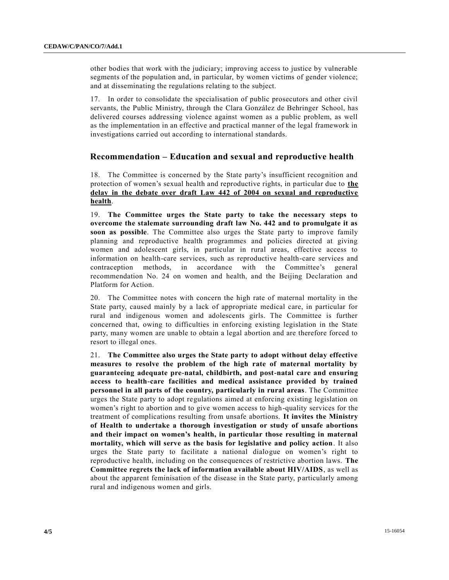other bodies that work with the judiciary; improving access to justice by vulnerable segments of the population and, in particular, by women victims of gender violence; and at disseminating the regulations relating to the subject.

17. In order to consolidate the specialisation of public prosecutors and other civil servants, the Public Ministry, through the Clara González de Behringer School, has delivered courses addressing violence against women as a public problem, as well as the implementation in an effective and practical manner of the legal framework in investigations carried out according to international standards.

#### **Recommendation – Education and sexual and reproductive health**

18. The Committee is concerned by the State party's insufficient recognition and protection of women's sexual health and reproductive rights, in particular due to **the delay in the debate over draft Law 442 of 2004 on sexual and reproductive health**.

19. **The Committee urges the State party to take the necessary steps to overcome the stalemate surrounding draft law No. 442 and to promulgate it as soon as possible**. The Committee also urges the State party to improve family planning and reproductive health programmes and policies directed at giving women and adolescent girls, in particular in rural areas, effective access to information on health-care services, such as reproductive health-care services and contraception methods, in accordance with the Committee's general recommendation No. 24 on women and health, and the Beijing Declaration and Platform for Action.

20. The Committee notes with concern the high rate of maternal mortality in the State party, caused mainly by a lack of appropriate medical care, in particular for rural and indigenous women and adolescents girls. The Committee is further concerned that, owing to difficulties in enforcing existing legislation in the State party, many women are unable to obtain a legal abortion and are therefore forced to resort to illegal ones.

21. **The Committee also urges the State party to adopt without delay effective measures to resolve the problem of the high rate of maternal mortality by guaranteeing adequate pre-natal, childbirth, and post-natal care and ensuring access to health-care facilities and medical assistance provided by trained personnel in all parts of the country, particularly in rural areas**. The Committee urges the State party to adopt regulations aimed at enforcing existing legislation on women's right to abortion and to give women access to high-quality services for the treatment of complications resulting from unsafe abortions. **It invites the Ministry of Health to undertake a thorough investigation or study of unsafe abortions and their impact on women's health, in particular those resulting in maternal mortality, which will serve as the basis for legislative and policy action**. It also urges the State party to facilitate a national dialogue on women's right to reproductive health, including on the consequences of restrictive abortion laws. **The Committee regrets the lack of information available about HIV/AIDS**, as well as about the apparent feminisation of the disease in the State party, particularly among rural and indigenous women and girls.